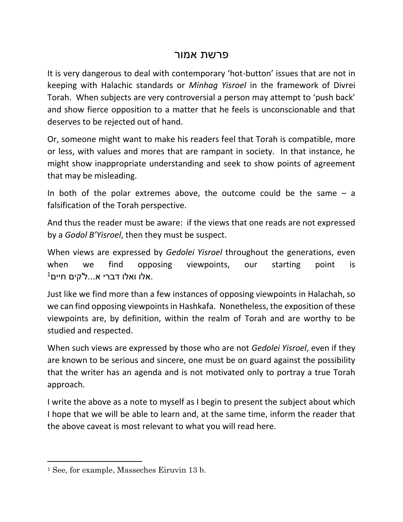## פרשת אמור

It is very dangerous to deal with contemporary 'hot-button' issues that are not in keeping with Halachic standards or *Minhag Yisroel* in the framework of Divrei Torah. When subjects are very controversial a person may attempt to 'push back' and show fierce opposition to a matter that he feels is unconscionable and that deserves to be rejected out of hand.

Or, someone might want to make his readers feel that Torah is compatible, more or less, with values and mores that are rampant in society. In that instance, he might show inappropriate understanding and seek to show points of agreement that may be misleading.

In both of the polar extremes above, the outcome could be the same  $-$  a falsification of the Torah perspective.

And thus the reader must be aware: if the views that one reads are not expressed by a *Godol B'Yisroel*, then they must be suspect.

When views are expressed by *Gedolei Yisroel* throughout the generations, even when we find opposing viewpoints, our starting point is  $^1$ אלו ואלו דברי א $\ldots$ ל'קים חיים.

Just like we find more than a few instances of opposing viewpoints in Halachah, so we can find opposing viewpoints in Hashkafa. Nonetheless, the exposition of these viewpoints are, by definition, within the realm of Torah and are worthy to be studied and respected.

When such views are expressed by those who are not *Gedolei Yisroel*, even if they are known to be serious and sincere, one must be on guard against the possibility that the writer has an agenda and is not motivated only to portray a true Torah approach.

I write the above as a note to myself as I begin to present the subject about which I hope that we will be able to learn and, at the same time, inform the reader that the above caveat is most relevant to what you will read here.

 $\overline{\phantom{a}}$ 

<sup>1</sup> See, for example, Masseches Eiruvin 13 b.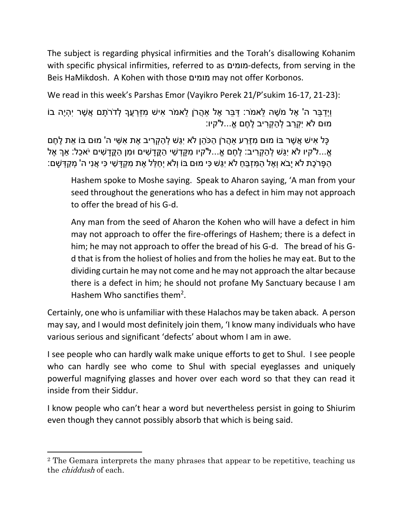The subject is regarding physical infirmities and the Torah's disallowing Kohanim with specific physical infirmities, referred to as מומים-defects, from serving in the Beis HaMikdosh. A Kohen with those מומים may not offer Korbonos.

We read in this week's Parshas Emor (Vayikro Perek 21/P'sukim 16-17, 21-23):

וַיְדַבֵּר ה' אֶל מֹשֶׁה לֵּאמֹר: דַּבֵּר אֶל אהֵרֹן לֵאמֹר אִישׁ מְזַרְעֶךָ לְדֹרֹתַם אֲשֶׁר יִהְיֶה בֹוֹ מּום ֹלא יִ ְקַרב ְל ַה ְק ִריב ֶל ֶחם אֹ...ל'קיו:

ָכַּל אִישׁ אֲשֶׁר בּוֹ מוּם מְזֵרַע אהֲרֹן הַכֹּהֶן לֹא יְגַּשׁ לְהַקְרִיב אֶת אָשֵׁי ה' מוּם בּוֹ אֶת לֶחֶם ֹאֵ...ל'קיו לֹא יְגַּשׁ לְהַקְרִיב: לֶחֶם אֱ...ל'קיו מִקֵּדְשִׁי הַקֱדַשִׁים וּמִן הַקֱדַשִׁים יֹאכֶל: אַךְ אֶל ָהַפָּרֹכֶת לֹא יָבֹא וְאֶל הַמְּזְבֵּח לֹא יְגֵּשׁ כִּי מוּם בּוֹ וְלֹא יְחַלֵּל אֶת מִקְדַּשִׁי כִּי אֲנִי ה' מְקַדְּשַׁם:

Hashem spoke to Moshe saying. Speak to Aharon saying, 'A man from your seed throughout the generations who has a defect in him may not approach to offer the bread of his G-d.

Any man from the seed of Aharon the Kohen who will have a defect in him may not approach to offer the fire-offerings of Hashem; there is a defect in him; he may not approach to offer the bread of his G-d. The bread of his Gd that is from the holiest of holies and from the holies he may eat. But to the dividing curtain he may not come and he may not approach the altar because there is a defect in him; he should not profane My Sanctuary because I am Hashem Who sanctifies them<sup>2</sup>.

Certainly, one who is unfamiliar with these Halachos may be taken aback. A person may say, and I would most definitely join them, 'I know many individuals who have various serious and significant 'defects' about whom I am in awe.

I see people who can hardly walk make unique efforts to get to Shul. I see people who can hardly see who come to Shul with special eyeglasses and uniquely powerful magnifying glasses and hover over each word so that they can read it inside from their Siddur.

I know people who can't hear a word but nevertheless persist in going to Shiurim even though they cannot possibly absorb that which is being said.

 $\overline{\phantom{a}}$ 

<sup>2</sup> The Gemara interprets the many phrases that appear to be repetitive, teaching us the chiddush of each.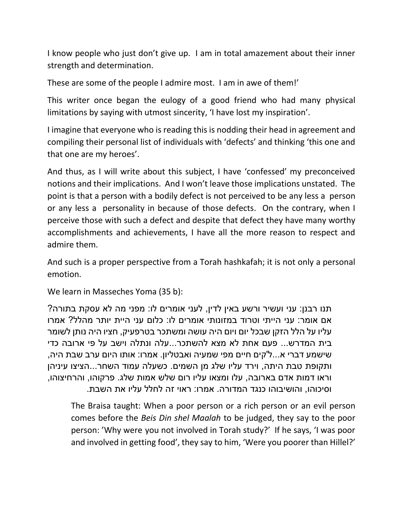I know people who just don't give up. I am in total amazement about their inner strength and determination.

These are some of the people I admire most. I am in awe of them!'

This writer once began the eulogy of a good friend who had many physical limitations by saying with utmost sincerity, 'I have lost my inspiration'.

I imagine that everyone who is reading this is nodding their head in agreement and compiling their personal list of individuals with 'defects' and thinking 'this one and that one are my heroes'.

And thus, as I will write about this subject, I have 'confessed' my preconceived notions and their implications. And I won't leave those implications unstated. The point is that a person with a bodily defect is not perceived to be any less a person or any less a personality in because of those defects. On the contrary, when I perceive those with such a defect and despite that defect they have many worthy accomplishments and achievements, I have all the more reason to respect and admire them.

And such is a proper perspective from a Torah hashkafah; it is not only a personal emotion.

We learn in Masseches Yoma (35 b):

תנו רבנן: עני ועשיר ורשע באין לדין, לעני אומרים לו: מפני מה לא עסקת בתורה? אם אומר: עני הייתי וטרוד במזונותי אומרים לו: כלום עני היית יותר מהלל? אמרו עליו על הלל הזקן שבכל יום ויום היה עושה ומשתכר בטרפעיק, חציו היה נותן לשומר בית המדרש... פעם אחת לא מצא להשתכר...עלה ונתלה וישב על פי ארובה כדי שישמע דברי א...ל'קים חיים מפי שמעיה ואבטליון. אמרו: אותו היום ערב שבת היה, ותקופת טבת היתה, וירד עליו שלג מן השמים. כשעלה עמוד השחר...הציצו עיניהן וראו דמות אדם בארובה, עלו ומצאו עליו רום שלש אמות שלג. פרקוהו, והרחיצוהו, וסיכוהו, והושיבוהו כנגד המדורה. אמרו: ראוי זה לחלל עליו את השבת.

The Braisa taught: When a poor person or a rich person or an evil person comes before the *Beis Din shel Maalah* to be judged, they say to the poor person: 'Why were you not involved in Torah study?' If he says, 'I was poor and involved in getting food', they say to him, 'Were you poorer than Hillel?'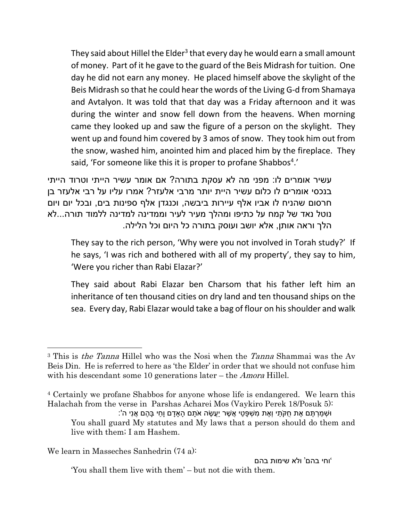They said about Hillel the Elder<sup>3</sup> that every day he would earn a small amount of money. Part of it he gave to the guard of the Beis Midrash for tuition. One day he did not earn any money. He placed himself above the skylight of the Beis Midrash so that he could hear the words of the Living G-d from Shamaya and Avtalyon. It was told that that day was a Friday afternoon and it was during the winter and snow fell down from the heavens. When morning came they looked up and saw the figure of a person on the skylight. They went up and found him covered by 3 amos of snow. They took him out from the snow, washed him, anointed him and placed him by the fireplace. They said, 'For someone like this it is proper to profane Shabbos<sup>4</sup>.'

עשיר אומרים לו: מפני מה לא עסקת בתורה? אם אומר עשיר הייתי וטרוד הייתי בנכסי אומרים לו כלום עשיר היית יותר מרבי אלעזר? אמרו עליו על רבי אלעזר בן חרסום שהניח לו אביו אלף עיירות ביבשה, וכנגדן אלף ספינות בים, ובכל יום ויום נוטל נאד של קמח על כתיפו ומהלך מעיר לעיר וממדינה למדינה ללמוד תורה...לא הלך וראה אותן, אלא יושב ועוסק בתורה כל היום וכל הלילה.

They say to the rich person, 'Why were you not involved in Torah study?' If he says, 'I was rich and bothered with all of my property', they say to him, 'Were you richer than Rabi Elazar?'

They said about Rabi Elazar ben Charsom that his father left him an inheritance of ten thousand cities on dry land and ten thousand ships on the sea. Every day, Rabi Elazar would take a bag of flour on his shoulder and walk

We learn in Masseches Sanhedrin (74 a):

 $\overline{\phantom{a}}$ 

'וחי בהם' ולא שימות בהם

'You shall them live with them' – but not die with them.

<sup>&</sup>lt;sup>3</sup> This is *the Tanna* Hillel who was the Nosi when the *Tanna* Shammai was the Ay Beis Din. He is referred to here as 'the Elder' in order that we should not confuse him with his descendant some 10 generations later – the *Amora* Hillel.

<sup>4</sup> Certainly we profane Shabbos for anyone whose life is endangered. We learn this Halachah from the verse in Parshas Acharei Mos (Vaykiro Perek 18/Posuk 5):

<sup>ּ</sup>ו ְש ַמ ְר ֶתם ֶאת ֻחקֹ ַתי וְ ֶאת ִמ ְש ָפ ַטי ֲא ֶשר יֲַע ֶשה אֹ ָתם ָהָאָדם וָ ַחי ָב ֶהם ֲאנִי ה': You shall guard My statutes and My laws that a person should do them and live with them; I am Hashem.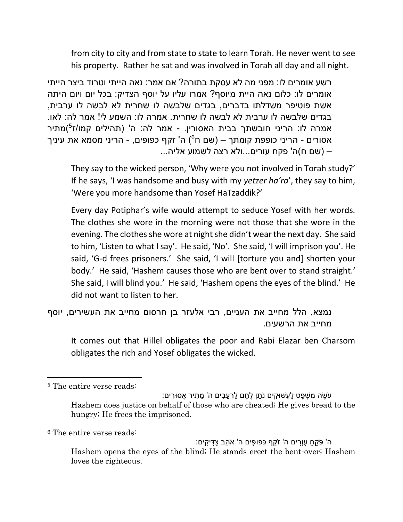from city to city and from state to state to learn Torah. He never went to see his property. Rather he sat and was involved in Torah all day and all night.

רשע אומרים לו: מפני מה לא עסקת בתורה? אם אמר: נאה הייתי וטרוד ביצר הייתי אומרים לו: כלום נאה היית מיוסף? אמרו עליו על יוסף הצדיק: בכל יום ויום היתה אשת פוטיפר משדלתו בדברים, בגדים שלבשה לו שחרית לא לבשה לו ערבית, בגדים שלבשה לו ערבית לא לבשה לו שחרית. אמרה לו: השמע לי! אמר לה: לאו. אמרה לו: הריני חובשתך בבית האסורין. - אמר לה: ה' (תהילים קמו/ז<sup>5</sup>)מתיר 6 אסורים - הריני כופפת קומתך – )שם ח ( ה' זקף כפופים, - הריני מסמא את עיניך – )שם ח(ה' פקח עורים...ולא רצה לשמוע אליה...

They say to the wicked person, 'Why were you not involved in Torah study?' If he says, 'I was handsome and busy with my *yetzer ha'ra*', they say to him, 'Were you more handsome than Yosef HaTzaddik?'

Every day Potiphar's wife would attempt to seduce Yosef with her words. The clothes she wore in the morning were not those that she wore in the evening. The clothes she wore at night she didn't wear the next day. She said to him, 'Listen to what I say'. He said, 'No'. She said, 'I will imprison you'. He said, 'G-d frees prisoners.' She said, 'I will [torture you and] shorten your body.' He said, 'Hashem causes those who are bent over to stand straight.' She said, I will blind you.' He said, 'Hashem opens the eyes of the blind.' He did not want to listen to her.

```
נמצא, הלל מחייב את העניים, רבי אלעזר בן חרסום מחייב את העשירים, יוסף 
                                        מחייב את הרשעים.
```
It comes out that Hillel obligates the poor and Rabi Elazar ben Charsom obligates the rich and Yosef obligates the wicked.

l

<sup>6</sup> The entire verse reads:

<sup>5</sup> The entire verse reads:

<sup>ָּ</sup>עְשֶׂה מִשָׁפּט לַעֲשִׁוּקִים נַתן לֶחֶם לְרָעבים ה' מִתִּיר אֲסוּרים: Hashem does justice on behalf of those who are cheated; He gives bread to the hungry; He frees the imprisoned.

<sup>ֿ</sup>ה' פֹּקֱחַ עִוְרִים ה' זֹקֱף כְּפוּפִים ה' אֹהֱב צַדִּיקִים: Hashem opens the eyes of the blind; He stands erect the bent-over; Hashem loves the righteous.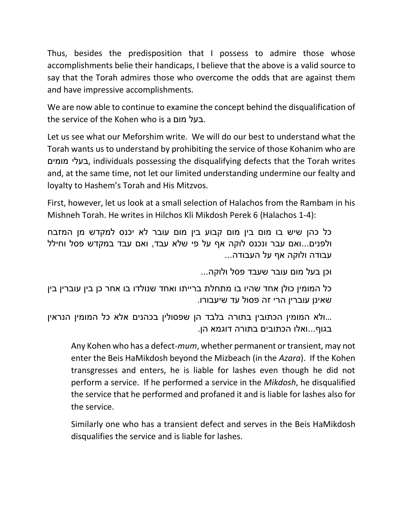Thus, besides the predisposition that I possess to admire those whose accomplishments belie their handicaps, I believe that the above is a valid source to say that the Torah admires those who overcome the odds that are against them and have impressive accomplishments.

We are now able to continue to examine the concept behind the disqualification of the service of the Kohen who is a מום בעל.

Let us see what our Meforshim write. We will do our best to understand what the Torah wants us to understand by prohibiting the service of those Kohanim who are מומים בעלי, individuals possessing the disqualifying defects that the Torah writes and, at the same time, not let our limited understanding undermine our fealty and loyalty to Hashem's Torah and His Mitzvos.

First, however, let us look at a small selection of Halachos from the Rambam in his Mishneh Torah. He writes in Hilchos Kli Mikdosh Perek 6 (Halachos 1-4):

כל כהן שיש בו מום בין מום קבוע בין מום עובר לא יכנס למקדש מן המזבח ולפנים...ואם עבר ונכנס לוקה אף על פי שלא עבד, ואם עבד במקדש פסל וחילל עבודה ולוקה אף על העבודה...

וכן בעל מום עובר שעבד פסל ולוקה...

כל המומין כולן אחד שהיו בו מתחלת ברייתו ואחד שנולדו בו אחר כן בין עוברין בין שאינן עוברין הרי זה פסול עד שיעבורו.

...ולא המומין הכתובין בתורה בלבד הן שפסולין בכהנים אלא כל המומין הנראין בגוף...ואלו הכתובים בתורה דוגמא הן.

Any Kohen who has a defect*-mum*, whether permanent or transient, may not enter the Beis HaMikdosh beyond the Mizbeach (in the *Azara*). If the Kohen transgresses and enters, he is liable for lashes even though he did not perform a service. If he performed a service in the *Mikdosh*, he disqualified the service that he performed and profaned it and is liable for lashes also for the service.

Similarly one who has a transient defect and serves in the Beis HaMikdosh disqualifies the service and is liable for lashes.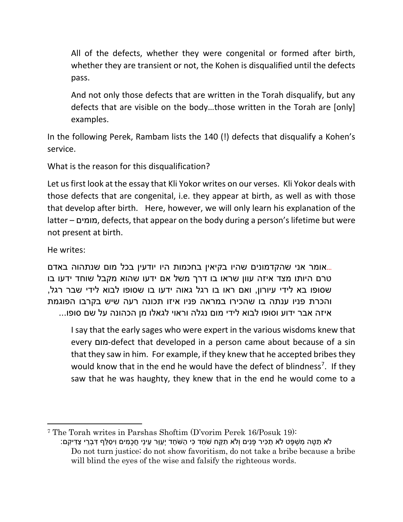All of the defects, whether they were congenital or formed after birth, whether they are transient or not, the Kohen is disqualified until the defects pass.

And not only those defects that are written in the Torah disqualify, but any defects that are visible on the body…those written in the Torah are [only] examples.

In the following Perek, Rambam lists the 140 (!) defects that disqualify a Kohen's service.

What is the reason for this disqualification?

Let us first look at the essay that Kli Yokor writes on our verses. Kli Yokor deals with those defects that are congenital, i.e. they appear at birth, as well as with those that develop after birth. Here, however, we will only learn his explanation of the latter – מומים, defects, that appear on the body during a person's lifetime but were not present at birth.

He writes:

 $\overline{\phantom{a}}$ 

...אומר אני שהקדמונים שהיו בקיאין בחכמות היו יודעין בכל מום שנתהוה באדם טרם היותו מצד איזה עוון שראו בו דרך משל אם ידעו שהוא מקבל שוחד ידעו בו שסופו בא לידי עיורון, ואם ראו בו רגל גאוה ידעו בו שסופו לבוא לידי שבר רגל, והכרת פניו ענתה בו שהכירו במראה פניו איזו תכונה רעה שיש בקרבו הפוגמת איזה אבר ידוע וסופו לבוא לידי מום נגלה וראוי לגאלו מן הכהונה על שם סופו...

I say that the early sages who were expert in the various wisdoms knew that every מום-defect that developed in a person came about because of a sin that they saw in him. For example, if they knew that he accepted bribes they would know that in the end he would have the defect of blindness<sup>7</sup>. If they saw that he was haughty, they knew that in the end he would come to a

<sup>7</sup> The Torah writes in Parshas Shoftim (D'vorim Perek 16/Posuk 19): ֿלֹא תַמֶּה מִשְׁפָּט לֹא תַכִּיר פָּנִים וְלֹא תִקַּח שֹׁחַד כִּי הַשֹּׁחַד יְעַוֵּר עֵינֵי חֲכָמִים וִיסַלֵּף דִּבְרֵי צַדִּיקִם: Do not turn justice; do not show favoritism, do not take a bribe because a bribe will blind the eyes of the wise and falsify the righteous words.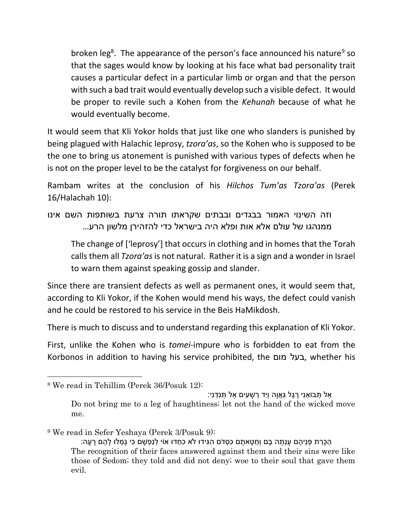broken leg<sup>8</sup>. The appearance of the person's face announced his nature<sup>9</sup> so that the sages would know by looking at his face what bad personality trait causes a particular defect in a particular limb or organ and that the person with such a bad trait would eventually develop such a visible defect. It would be proper to revile such a Kohen from the *Kehunah* because of what he would eventually become.

It would seem that Kli Yokor holds that just like one who slanders is punished by being plagued with Halachic leprosy, *tzora'as*, so the Kohen who is supposed to be the one to bring us atonement is punished with various types of defects when he is not on the proper level to be the catalyst for forgiveness on our behalf.

Rambam writes at the conclusion of his *Hilchos Tum'as Tzora'as* (Perek 16/Halachah 10):

וזה השינוי האמור בבגדים ובבתים שקראתו תורה צרעת בשותפות השם אינו ממנהגו של עולם אלא אות ופלא היה בישראל כדי להזהירן מלשון הרע...

The change of ['leprosy'] that occurs in clothing and in homes that the Torah calls them all *Tzora'as* is not natural. Rather it is a sign and a wonder in Israel to warn them against speaking gossip and slander.

Since there are transient defects as well as permanent ones, it would seem that, according to Kli Yokor, if the Kohen would mend his ways, the defect could vanish and he could be restored to his service in the Beis HaMikdosh.

There is much to discuss and to understand regarding this explanation of Kli Yokor.

First, unlike the Kohen who is *tomei*-impure who is forbidden to eat from the Korbonos in addition to having his service prohibited, the מום בעל, whether his

 $\overline{\phantom{a}}$ 

ָּאל תְּבוֹאֵנִי רֵגֶל גַּאֲוֵה וְיַד רְשָׁעִים אל תִּנְדֵנִי:

Do not bring me to a leg of haughtiness; let not the hand of the wicked move me.

<sup>9</sup> We read in Sefer Yeshaya (Perek 3/Posuk 9):

ָהַכָּרַת פְּנֵיהֶם עָנְתָה בָּם וְחַטָּאתָם כְּסָדֹם הְגִּידוּ לֹא כְחֵדוּ אוֹי לְנַפְשָׁם כִּי גָמְלוּ לָהֶם רָעָה: The recognition of their faces answered against them and their sins were like those of Sedom; they told and did not deny; woe to their soul that gave them evil.

<sup>8</sup> We read in Tehillim (Perek 36/Posuk 12):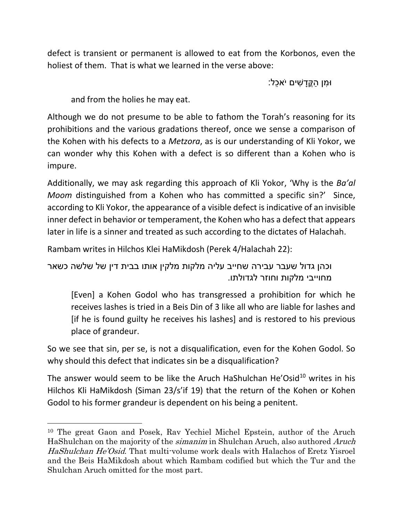defect is transient or permanent is allowed to eat from the Korbonos, even the holiest of them. That is what we learned in the verse above:

ּו ִמן ַהֳּקָד ִשים יֹא ֵּכל:

and from the holies he may eat.

 $\overline{\phantom{a}}$ 

Although we do not presume to be able to fathom the Torah's reasoning for its prohibitions and the various gradations thereof, once we sense a comparison of the Kohen with his defects to a *Metzora*, as is our understanding of Kli Yokor, we can wonder why this Kohen with a defect is so different than a Kohen who is impure.

Additionally, we may ask regarding this approach of Kli Yokor, 'Why is the *Ba'al Moom* distinguished from a Kohen who has committed a specific sin?' Since, according to Kli Yokor, the appearance of a visible defect is indicative of an invisible inner defect in behavior or temperament, the Kohen who has a defect that appears later in life is a sinner and treated as such according to the dictates of Halachah.

Rambam writes in Hilchos Klei HaMikdosh (Perek 4/Halachah 22):

וכהן גדול שעבר עבירה שחייב עליה מלקות מלקין אותו בבית דין של שלשה כשאר מחוייבי מלקות וחוזר לגדולתו.

[Even] a Kohen Godol who has transgressed a prohibition for which he receives lashes is tried in a Beis Din of 3 like all who are liable for lashes and [if he is found guilty he receives his lashes] and is restored to his previous place of grandeur.

So we see that sin, per se, is not a disqualification, even for the Kohen Godol. So why should this defect that indicates sin be a disqualification?

The answer would seem to be like the Aruch HaShulchan He'Osid<sup>10</sup> writes in his Hilchos Kli HaMikdosh (Siman 23/s'if 19) that the return of the Kohen or Kohen Godol to his former grandeur is dependent on his being a penitent.

<sup>10</sup> The great Gaon and Posek, Rav Yechiel Michel Epstein, author of the Aruch HaShulchan on the majority of the simanim in Shulchan Aruch, also authored Aruch HaShulchan He'Osid. That multi-volume work deals with Halachos of Eretz Yisroel and the Beis HaMikdosh about which Rambam codified but which the Tur and the Shulchan Aruch omitted for the most part.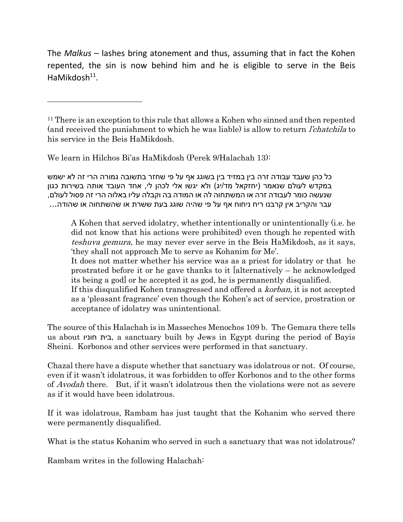The *Malkus* – lashes bring atonement and thus, assuming that in fact the Kohen repented, the sin is now behind him and he is eligible to serve in the Beis HaMikdosh<sup>11</sup>.

We learn in Hilchos Bi'as HaMikdosh (Perek 9/Halachah 13):

 $\overline{\phantom{a}}$ 

כל כהן שעבד עבודה זרה בין במזיד בין בשוגג אף על פי שחזר בתשובה גמורה הרי זה לא ישמש במקדש לעולם שנאמר (יחזקאל מד/יג) ולא יגשו אלי לכהן לי, אחד העובד אותה בשירות כגון שנעשה כומר לעבודה זרה או המשתחוה לה או המודה בה וקבלה עליו באלוה הרי זה פסול לעולם, עבר והקריב אין קרבנו ריח ניחוח אף על פי שהיה שוגג בעת ששרת או שהשתחוה או שהודה...

A Kohen that served idolatry, whether intentionally or unintentionally (i.e. he did not know that his actions were prohibited) even though he repented with teshuva gemura, he may never ever serve in the Beis HaMikdosh, as it says, 'they shall not approach Me to serve as Kohanim for Me'.

It does not matter whether his service was as a priest for idolatry or that he prostrated before it or he gave thanks to it [alternatively – he acknowledged its being a god] or he accepted it as god, he is permanently disqualified.

If this disqualified Kohen transgressed and offered a *korban*, it is not accepted as a 'pleasant fragrance' even though the Kohen's act of service, prostration or acceptance of idolatry was unintentional.

The source of this Halachah is in Masseches Menochos 109 b. The Gemara there tells us about חוניו בית, a sanctuary built by Jews in Egypt during the period of Bayis Sheini. Korbonos and other services were performed in that sanctuary.

Chazal there have a dispute whether that sanctuary was idolatrous or not. Of course, even if it wasn't idolatrous, it was forbidden to offer Korbonos and to the other forms of Avodah there. But, if it wasn't idolatrous then the violations were not as severe as if it would have been idolatrous.

If it was idolatrous, Rambam has just taught that the Kohanim who served there were permanently disqualified.

What is the status Kohanim who served in such a sanctuary that was not idolatrous?

Rambam writes in the following Halachah:

<sup>&</sup>lt;sup>11</sup> There is an exception to this rule that allows a Kohen who sinned and then repented (and received the punishment to which he was liable) is allow to return l'chatchila to his service in the Beis HaMikdosh.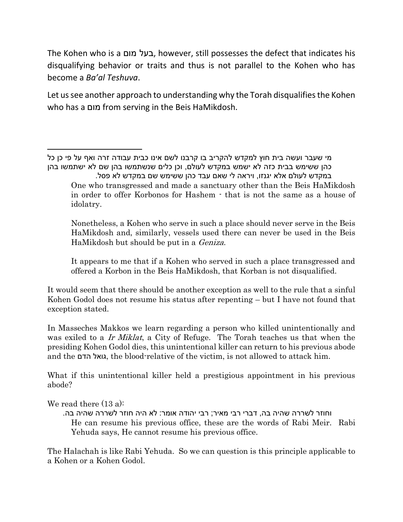The Kohen who is a מום בעל, however, still possesses the defect that indicates his disqualifying behavior or traits and thus is not parallel to the Kohen who has become a *Ba'al Teshuva*.

Let us see another approach to understanding why the Torah disqualifies the Kohen who has a מום from serving in the Beis HaMikdosh.

 $\overline{\phantom{a}}$ מי שעבר ועשה בית חוץ למקדש להקריב בו קרבנו לשם אינו כבית עבודה זרה ואף על פי כן כל כהן ששימש בבית כזה לא ישמש במקדש לעולם, וכן כלים שנשתמשו בהן שם לא ישתמשו בהן במקדש לעולם אלא יגנזו, ויראה לי שאם עבד כהן ששימש שם במקדש לא פסל.

One who transgressed and made a sanctuary other than the Beis HaMikdosh in order to offer Korbonos for Hashem - that is not the same as a house of idolatry.

Nonetheless, a Kohen who serve in such a place should never serve in the Beis HaMikdosh and, similarly, vessels used there can never be used in the Beis HaMikdosh but should be put in a *Geniza*.

It appears to me that if a Kohen who served in such a place transgressed and offered a Korbon in the Beis HaMikdosh, that Korban is not disqualified.

It would seem that there should be another exception as well to the rule that a sinful Kohen Godol does not resume his status after repenting – but I have not found that exception stated.

In Masseches Makkos we learn regarding a person who killed unintentionally and was exiled to a Ir Miklat, a City of Refuge. The Torah teaches us that when the presiding Kohen Godol dies, this unintentional killer can return to his previous abode and the הדם גואל, the blood-relative of the victim, is not allowed to attack him.

What if this unintentional killer held a prestigious appointment in his previous abode?

We read there (13 a):

וחוזר לשררה שהיה בה, דברי רבי מאיר; רבי יהודה אומר: לא היה חוזר לשררה שהיה בה. He can resume his previous office, these are the words of Rabi Meir. Rabi Yehuda says, He cannot resume his previous office.

The Halachah is like Rabi Yehuda. So we can question is this principle applicable to a Kohen or a Kohen Godol.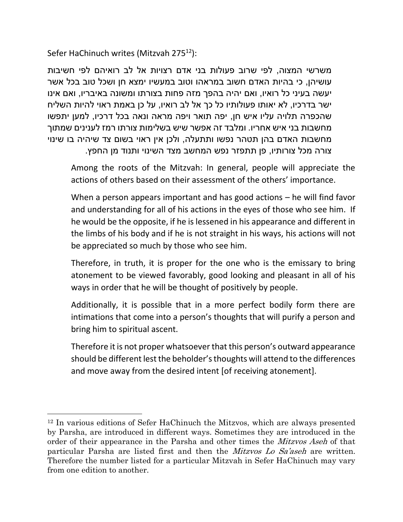Sefer HaChinuch writes (Mitzvah 275<sup>12</sup>):

 $\overline{\phantom{a}}$ 

משרשי המצוה, לפי שרוב פעולות בני אדם רצויות אל לב רואיהם לפי חשיבות עושיהן, כי בהיות האדם חשוב במראהו וטוב במעשיו ימצא חן ושכל טוב בכל אשר יעשה בעיני כל רואיו, ואם יהיה בהפך מזה פחות בצורתו ומשונה באיבריו, ואם אינו ישר בדרכיו, לא יאותו פעולותיו כל כך אל לב רואיו, על כן באמת ראוי להיות השליח שהכפרה תלויה עליו איש חן, יפה תואר ויפה מראה ונאה בכל דרכיו, למען יתפשו מחשבות בני איש אחריו. ומלבד זה אפשר שיש בשלימות צורתו רמז לענינים שמתוך מחשבות האדם בהן תטהר נפשו ותתעלה, ולכן אין ראוי בשום צד שיהיה בו שינוי צורה מכל צורותיו, פן תתפזר נפש המחשב מצד השינוי ותנוד מן החפץ.

Among the roots of the Mitzvah: In general, people will appreciate the actions of others based on their assessment of the others' importance.

When a person appears important and has good actions – he will find favor and understanding for all of his actions in the eyes of those who see him. If he would be the opposite, if he is lessened in his appearance and different in the limbs of his body and if he is not straight in his ways, his actions will not be appreciated so much by those who see him.

Therefore, in truth, it is proper for the one who is the emissary to bring atonement to be viewed favorably, good looking and pleasant in all of his ways in order that he will be thought of positively by people.

Additionally, it is possible that in a more perfect bodily form there are intimations that come into a person's thoughts that will purify a person and bring him to spiritual ascent.

Therefore it is not proper whatsoever that this person's outward appearance should be different lest the beholder's thoughts will attend to the differences and move away from the desired intent [of receiving atonement].

<sup>12</sup> In various editions of Sefer HaChinuch the Mitzvos, which are always presented by Parsha, are introduced in different ways. Sometimes they are introduced in the order of their appearance in the Parsha and other times the *Mitzvos Aseh* of that particular Parsha are listed first and then the Mitzvos Lo Sa'aseh are written. Therefore the number listed for a particular Mitzvah in Sefer HaChinuch may vary from one edition to another.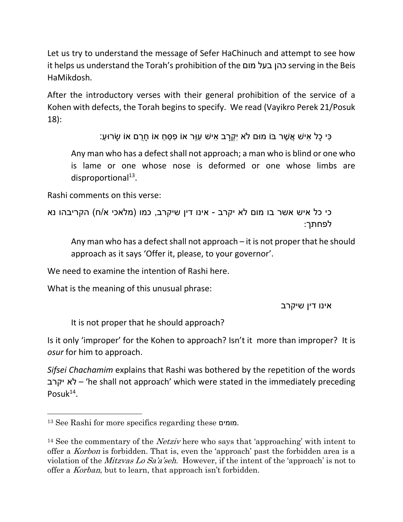Let us try to understand the message of Sefer HaChinuch and attempt to see how it helps us understand the Torah's prohibition of the מום בעל כהן serving in the Beis HaMikdosh.

After the introductory verses with their general prohibition of the service of a Kohen with defects, the Torah begins to specify. We read (Vayikro Perek 21/Posuk 18):

ָּכִּי כָל אִישׁ אֲשֶׁר בּוֹ מוּם לֹא יִקְרַב אִישׁ עָוֵּר אוֹ פְּסֵחַ אוֹ חֲרָם אוֹ שַׂרוּעַ:

Any man who has a defect shall not approach; a man who is blind or one who is lame or one whose nose is deformed or one whose limbs are disproportional<sup>13</sup>.

Rashi comments on this verse:

```
כי כל איש אשר בו מום לא יקרב - אינו דין שיקרב, כמו (מלאכי א/ח) הקריבהו נא
                                                     לפחתך:
```
Any man who has a defect shall not approach – it is not proper that he should approach as it says 'Offer it, please, to your governor'.

We need to examine the intention of Rashi here.

What is the meaning of this unusual phrase:

אינו דין שיקרב

It is not proper that he should approach?

Is it only 'improper' for the Kohen to approach? Isn't it more than improper? It is *osur* for him to approach.

*Sifsei Chachamim* explains that Rashi was bothered by the repetition of the words יקרב לא' – he shall not approach' which were stated in the immediately preceding Posuk<sup>14</sup>.

 $\overline{\phantom{a}}$ 

<sup>13</sup> See Rashi for more specifics regarding these מומים.

<sup>&</sup>lt;sup>14</sup> See the commentary of the *Netziv* here who says that 'approaching' with intent to offer a Korbon is forbidden. That is, even the 'approach' past the forbidden area is a violation of the Mitzvas Lo Sa'a'seh. However, if the intent of the 'approach' is not to offer a *Korban*, but to learn, that approach isn't forbidden.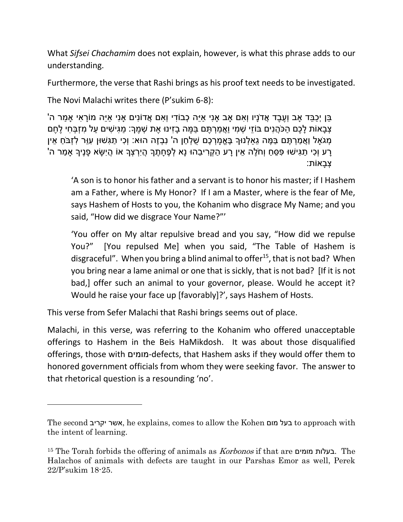What *Sifsei Chachamim* does not explain, however, is what this phrase adds to our understanding.

Furthermore, the verse that Rashi brings as his proof text needs to be investigated.

The Novi Malachi writes there (P'sukim 6-8):

ֶּבֵּן יְכָבֵּד אַב וְעֶבֵד אֲדֹנַיו וְאִם אַב אַנִי אַיֵּה כְּבוֹדִי וְאִם אֲדוֹנִים אַנִי אַיֵּה מוֹרַאִי אַמַר ה' ַצְבָאוֹת לַכֶם הַכֹּהֲנִים בּוֹזֵי שָׁמִי וַאֲמַרְתֶּם בַּמֵּה בָזִינוּ אֶת שָׁמֵךְ: מַגִּישִׁים עַל מִזְבָּחִי לֶחֶם ַמְגֹאָל וַאֲמַרְתֶּם בַּמֶּה גֵאַלְנוּךָ בֶּאֱמָרְכֶם שֵׁלְחַן ה' נִבְזֶה הוּא: וְכִי תַגִּשׁוּן עִוֵּר לְזבֹחַ אֵין ָרַע וְכִי תַגְּישׁוּ פְּסֵחַ וְחֹלֶה אֵין רָע הַקְרִיבֵהוּ נָא לְפֶחָתֶךָ הֲיִרְצְךָ אוֹ הַיְשָׂא פָנֶיךָ אַמַר ה' :צִבאוֹת

'A son is to honor his father and a servant is to honor his master; if I Hashem am a Father, where is My Honor? If I am a Master, where is the fear of Me, says Hashem of Hosts to you, the Kohanim who disgrace My Name; and you said, "How did we disgrace Your Name?"'

'You offer on My altar repulsive bread and you say, "How did we repulse You?" [You repulsed Me] when you said, "The Table of Hashem is disgraceful". When you bring a blind animal to offer<sup>15</sup>, that is not bad? When you bring near a lame animal or one that is sickly, that is not bad? [If it is not bad,] offer such an animal to your governor, please. Would he accept it? Would he raise your face up [favorably]?', says Hashem of Hosts.

This verse from Sefer Malachi that Rashi brings seems out of place.

 $\overline{a}$ 

Malachi, in this verse, was referring to the Kohanim who offered unacceptable offerings to Hashem in the Beis HaMikdosh. It was about those disqualified offerings, those with מומים-defects, that Hashem asks if they would offer them to honored government officials from whom they were seeking favor. The answer to that rhetorical question is a resounding 'no'.

The second יקריב אשר, he explains, comes to allow the Kohen מום בעל to approach with the intent of learning.

<sup>15</sup> The Torah forbids the offering of animals as Korbonos if that are מומים בעלות. The Halachos of animals with defects are taught in our Parshas Emor as well, Perek 22/P'sukim 18-25.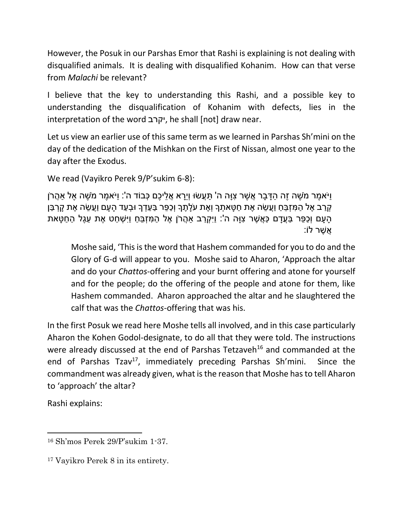However, the Posuk in our Parshas Emor that Rashi is explaining is not dealing with disqualified animals. It is dealing with disqualified Kohanim. How can that verse from *Malachi* be relevant?

I believe that the key to understanding this Rashi, and a possible key to understanding the disqualification of Kohanim with defects, lies in the interpretation of the word יקרב, he shall [not] draw near.

Let us view an earlier use of this same term as we learned in Parshas Sh'mini on the day of the dedication of the Mishkan on the First of Nissan, almost one year to the day after the Exodus.

We read (Vayikro Perek 9/P'sukim 6-8):

ַוִּיֹּאמַר מֹשָׁה זָה הִדְּבר אֲשָׁר צוּה ה' תַּעֲשׂוּ וִירא אֲליכם כָּבוֹד ה': וַיֹּאמַר מֹשָׁה אַל אַהֲרֹן ַּקְרַב אֶל הַמִּזְבֵּח וַעֲשֶׂה אֶת חַטַּאתְךָ וְאֶת עֹלַתֶּךָ וְכָפֶר בַּעֲדָךָ וּבְעָד הַעָם וַעֲשֶׂה אֶת קַרְבַּן ָהָעָם וְכַפֶּר בַּעֲדָם כַּאֲשֶׁר צְוָּה ה<sup>י</sup>: וַיִּקְרַב אַהֲרֹן אֶל הַמְּזְבֶּחַ וַיִּשְׁחַט אֶת עֵגֶל הַחַטָּאת ֲא ֶשר לֹו:

Moshe said, 'This is the word that Hashem commanded for you to do and the Glory of G-d will appear to you. Moshe said to Aharon, 'Approach the altar and do your *Chattos*-offering and your burnt offering and atone for yourself and for the people; do the offering of the people and atone for them, like Hashem commanded. Aharon approached the altar and he slaughtered the calf that was the *Chattos*-offering that was his.

In the first Posuk we read here Moshe tells all involved, and in this case particularly Aharon the Kohen Godol-designate, to do all that they were told. The instructions were already discussed at the end of Parshas Tetzaveh<sup>16</sup> and commanded at the end of Parshas Tzav<sup>17</sup>, immediately preceding Parshas Sh'mini. Since the commandment was already given, what is the reason that Moshe has to tell Aharon to 'approach' the altar?

Rashi explains:

l

<sup>16</sup> Sh'mos Perek 29/P'sukim 1-37.

<sup>17</sup> Vayikro Perek 8 in its entirety.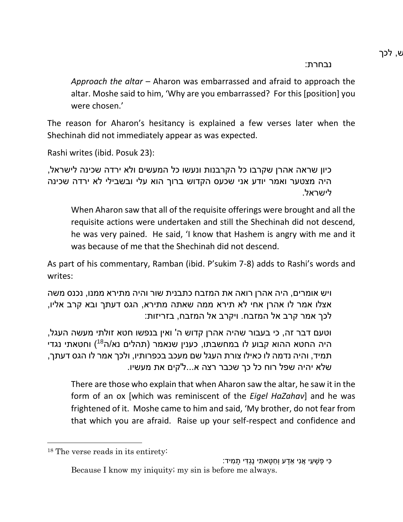נבחרת:

*Approach the altar* – Aharon was embarrassed and afraid to approach the altar. Moshe said to him, 'Why are you embarrassed? For this [position] you were chosen.'

The reason for Aharon's hesitancy is explained a few verses later when the Shechinah did not immediately appear as was expected.

Rashi writes (ibid. Posuk 23):

כיון שראה אהרן שקרבו כל הקרבנות ונעשו כל המעשים ולא ירדה שכינה לישראל, היה מצטער ואמר יודע אני שכעס הקדוש ברוך הוא עלי ובשבילי לא ירדה שכינה לישראל.

When Aharon saw that all of the requisite offerings were brought and all the requisite actions were undertaken and still the Shechinah did not descend, he was very pained. He said, 'I know that Hashem is angry with me and it was because of me that the Shechinah did not descend.

As part of his commentary, Ramban (ibid. P'sukim 7-8) adds to Rashi's words and writes:

ויש אומרים, היה אהרן רואה את המזבח כתבנית שור והיה מתירא ממנו, נכנס משה אצלו אמר לו אהרן אחי לא תירא ממה שאתה מתירא, הגס דעתך ובא קרב אליו, לכך אמר קרב אל המזבח. ויקרב אל המזבח, בזריזות:

וטעם דבר זה, כי בעבור שהיה אהרן קדוש ה' ואין בנפשו חטא זולתי מעשה העגל, היה החטא ההוא קבוע לו במחשבתו, כענין שנאמר (תהלים נא/ה<sup>18</sup>) וחטאתי נגדי תמיד, והיה נדמה לו כאילו צורת העגל שם מעכב בכפרותיו, ולכך אמר לו הגס דעתך, שלא יהיה שפל רוח כל כך שכבר רצה א...ל'קים את מעשיו.

There are those who explain that when Aharon saw the altar, he saw it in the form of an ox [which was reminiscent of the *Eigel HaZahav*] and he was frightened of it. Moshe came to him and said, 'My brother, do not fear from that which you are afraid. Raise up your self-respect and confidence and

 $\overline{\phantom{a}}$ 

ָכִּי פָשׁעִי אֲנִי אדע וְחַטּאתִי נֵגְדִּי תִמִיד: Because I know my iniquity; my sin is before me always.

<sup>18</sup> The verse reads in its entirety: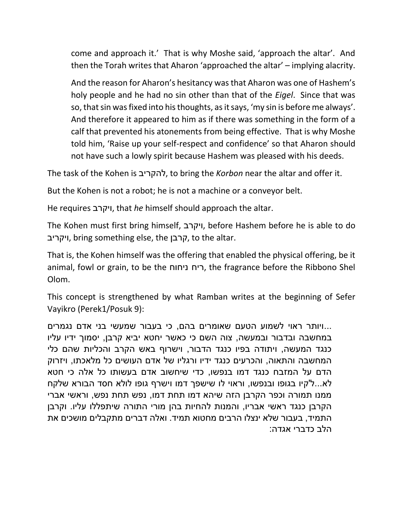come and approach it.' That is why Moshe said, 'approach the altar'. And then the Torah writes that Aharon 'approached the altar' – implying alacrity.

And the reason for Aharon's hesitancy was that Aharon was one of Hashem's holy people and he had no sin other than that of the *Eigel*. Since that was so, that sin was fixed into his thoughts, as it says, 'my sin is before me always'. And therefore it appeared to him as if there was something in the form of a calf that prevented his atonements from being effective. That is why Moshe told him, 'Raise up your self-respect and confidence' so that Aharon should not have such a lowly spirit because Hashem was pleased with his deeds.

The task of the Kohen is להקריב, to bring the *Korbon* near the altar and offer it.

But the Kohen is not a robot; he is not a machine or a conveyor belt.

He requires ויקרב, that *he* himself should approach the altar.

The Kohen must first bring himself, ויקרב, before Hashem before he is able to do ויקריב, bring something else, the קרבן, to the altar.

That is, the Kohen himself was the offering that enabled the physical offering, be it animal, fowl or grain, to be the ניחוח ריח, the fragrance before the Ribbono Shel Olom.

This concept is strengthened by what Ramban writes at the beginning of Sefer Vayikro (Perek1/Posuk 9):

...ויותר ראוי לשמוע הטעם שאומרים בהם, כי בעבור שמעשי בני אדם נגמרים במחשבה ובדבור ובמעשה, צוה השם כי כאשר יחטא יביא קרבן, יסמוך ידיו עליו כנגד המעשה, ויתודה בפיו כנגד הדבור, וישרוף באש הקרב והכליות שהם כלי המחשבה והתאוה, והכרעים כנגד ידיו ורגליו של אדם העושים כל מלאכתו, ויזרוק הדם על המזבח כנגד דמו בנפשו, כדי שיחשוב אדם בעשותו כל אלה כי חטא לא...ל'קיו בגופו ובנפשו, וראוי לו שישפך דמו וישרף גופו לולא חסד הבורא שלקח ממנו תמורה וכפר הקרבן הזה שיהא דמו תחת דמו, נפש תחת נפש, וראשי אברי הקרבן כנגד ראשי אבריו, והמנות להחיות בהן מורי התורה שיתפללו עליו. וקרבן התמיד, בעבור שלא ינצלו הרבים מחטוא תמיד. ואלה דברים מתקבלים מושכים את הלב כדברי אגדה: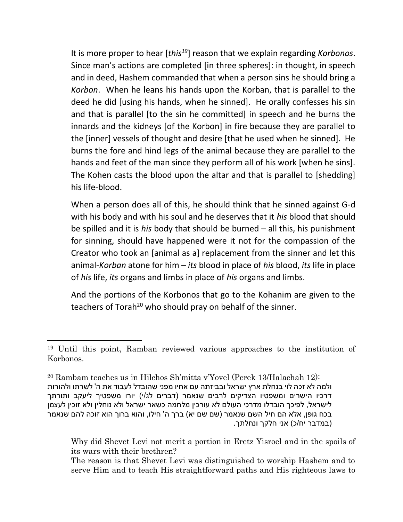It is more proper to hear [*this<sup>19</sup>*] reason that we explain regarding *Korbonos*. Since man's actions are completed [in three spheres]: in thought, in speech and in deed, Hashem commanded that when a person sins he should bring a *Korbon*. When he leans his hands upon the Korban, that is parallel to the deed he did [using his hands, when he sinned]. He orally confesses his sin and that is parallel [to the sin he committed] in speech and he burns the innards and the kidneys [of the Korbon] in fire because they are parallel to the [inner] vessels of thought and desire [that he used when he sinned]. He burns the fore and hind legs of the animal because they are parallel to the hands and feet of the man since they perform all of his work [when he sins]. The Kohen casts the blood upon the altar and that is parallel to [shedding] his life-blood.

When a person does all of this, he should think that he sinned against G-d with his body and with his soul and he deserves that it *his* blood that should be spilled and it is *his* body that should be burned – all this, his punishment for sinning, should have happened were it not for the compassion of the Creator who took an [animal as a] replacement from the sinner and let this animal-*Korban* atone for him – *its* blood in place of *his* blood, *its* life in place of *his* life, *its* organs and limbs in place of *his* organs and limbs.

And the portions of the Korbonos that go to the Kohanim are given to the teachers of Torah<sup>20</sup> who should pray on behalf of the sinner.

 $\overline{\phantom{a}}$ 

<sup>19</sup> Until this point, Ramban reviewed various approaches to the institution of Korbonos.

<sup>20</sup> Rambam teaches us in Hilchos Sh'mitta v'Yovel (Perek 13/Halachah 12): ולמה לא זכה לוי בנחלת ארץ ישראל ובביזתה עם אחיו מפני שהובדל לעבוד את ה' לשרתו ולהורות דרכיו הישרים ומשפטיו הצדיקים לרבים שנאמר (דברים לג/י) יורו משפטיך ליעקב ותורתך לישראל, לפיכך הובדלו מדרכי העולם לא עורכין מלחמה כשאר ישראל ולא נוחלין ולא זוכין לעצמן בכח גופן, אלא הם חיל השם שנאמר (שם שם יא) ברך ה' חילו, והוא ברוך הוא זוכה להם שנאמר )במדבר יח/כ( אני חלקך ונחלתך.

Why did Shevet Levi not merit a portion in Eretz Yisroel and in the spoils of its wars with their brethren?

The reason is that Shevet Levi was distinguished to worship Hashem and to serve Him and to teach His straightforward paths and His righteous laws to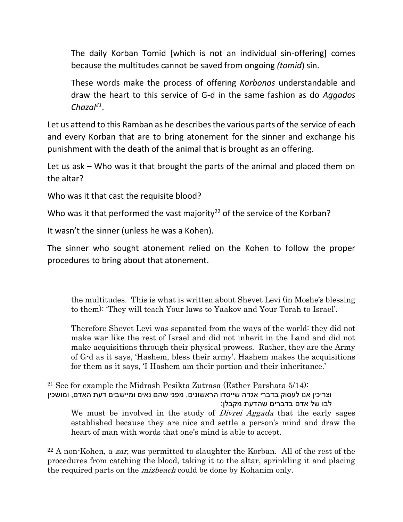The daily Korban Tomid [which is not an individual sin-offering] comes because the multitudes cannot be saved from ongoing *(tomid*) sin.

These words make the process of offering *Korbonos* understandable and draw the heart to this service of G-d in the same fashion as do *Aggados Chazal<sup>21</sup>* .

Let us attend to this Ramban as he describes the various parts of the service of each and every Korban that are to bring atonement for the sinner and exchange his punishment with the death of the animal that is brought as an offering.

Let us ask – Who was it that brought the parts of the animal and placed them on the altar?

Who was it that cast the requisite blood?

Who was it that performed the vast majority<sup>22</sup> of the service of the Korban?

It wasn't the sinner (unless he was a Kohen).

 $\overline{\phantom{a}}$ 

The sinner who sought atonement relied on the Kohen to follow the proper procedures to bring about that atonement.

<sup>21</sup> See for example the Midrash Pesikta Zutrasa (Esther Parshata  $5/14$ ): וצריכין אנו לעסוק בדברי אגדה שייסדו הראשונים, מפני שהם נאים ומיישבים דעת האדם, ומושכין לבו של אדם בדברים שהדעת מקבלן: We must be involved in the study of *Divrei Aggada* that the early sages established because they are nice and settle a person's mind and draw the heart of man with words that one's mind is able to accept.

<sup>22</sup> A non-Kohen, a *zar*, was permitted to slaughter the Korban. All of the rest of the procedures from catching the blood, taking it to the altar, sprinkling it and placing the required parts on the *mizbeach* could be done by Kohanim only.

the multitudes. This is what is written about Shevet Levi (in Moshe's blessing to them): 'They will teach Your laws to Yaakov and Your Torah to Israel'.

Therefore Shevet Levi was separated from the ways of the world: they did not make war like the rest of Israel and did not inherit in the Land and did not make acquisitions through their physical prowess. Rather, they are the Army of G-d as it says, 'Hashem, bless their army'. Hashem makes the acquisitions for them as it says, 'I Hashem am their portion and their inheritance.'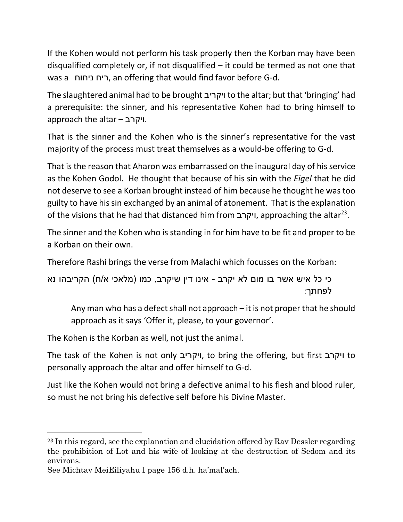If the Kohen would not perform his task properly then the Korban may have been disqualified completely or, if not disqualified  $-$  it could be termed as not one that was a ניחוח ריח, an offering that would find favor before G-d.

The slaughtered animal had to be brought ויקריב to the altar; but that 'bringing' had a prerequisite: the sinner, and his representative Kohen had to bring himself to approach the altar – ויקרב.

That is the sinner and the Kohen who is the sinner's representative for the vast majority of the process must treat themselves as a would-be offering to G-d.

That is the reason that Aharon was embarrassed on the inaugural day of his service as the Kohen Godol. He thought that because of his sin with the *Eigel* that he did not deserve to see a Korban brought instead of him because he thought he was too guilty to have his sin exchanged by an animal of atonement. That is the explanation of the visions that he had that distanced him from ויקרב, approaching the altar<sup>23</sup> .

The sinner and the Kohen who is standing in for him have to be fit and proper to be a Korban on their own.

Therefore Rashi brings the verse from Malachi which focusses on the Korban:

כי כל איש אשר בו מום לא יקרב - אינו דין שיקרב, כמו (מלאכי א/ח) הקריבהו נא לפחתך:

Any man who has a defect shall not approach – it is not proper that he should approach as it says 'Offer it, please, to your governor'.

The Kohen is the Korban as well, not just the animal.

The task of the Kohen is not only ויקריב, to bring the offering, but first ויקרב to personally approach the altar and offer himself to G-d.

Just like the Kohen would not bring a defective animal to his flesh and blood ruler, so must he not bring his defective self before his Divine Master.

l

<sup>&</sup>lt;sup>23</sup> In this regard, see the explanation and elucidation offered by Rav Dessler regarding the prohibition of Lot and his wife of looking at the destruction of Sedom and its environs.

See Michtav MeiEiliyahu I page 156 d.h. ha'mal'ach.